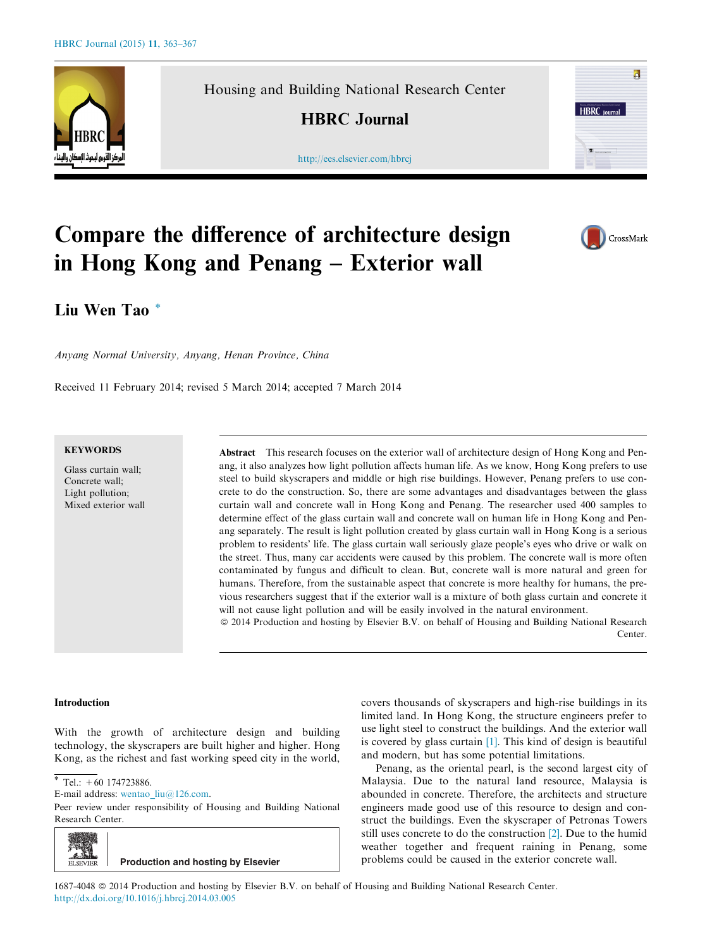

Housing and Building National Research Center

HBRC Journal

[http://ees.elsevier.com/hbrcj](http://www.sciencedirect.com/science/journal/16874048)



# Compare the difference of architecture design in Hong Kong and Penang – Exterior wall



Liu Wen Tao \*

Anyang Normal University, Anyang, Henan Province, China

Received 11 February 2014; revised 5 March 2014; accepted 7 March 2014

## **KEYWORDS**

Glass curtain wall; Concrete wall; Light pollution; Mixed exterior wall

Abstract This research focuses on the exterior wall of architecture design of Hong Kong and Penang, it also analyzes how light pollution affects human life. As we know, Hong Kong prefers to use steel to build skyscrapers and middle or high rise buildings. However, Penang prefers to use concrete to do the construction. So, there are some advantages and disadvantages between the glass curtain wall and concrete wall in Hong Kong and Penang. The researcher used 400 samples to determine effect of the glass curtain wall and concrete wall on human life in Hong Kong and Penang separately. The result is light pollution created by glass curtain wall in Hong Kong is a serious problem to residents' life. The glass curtain wall seriously glaze people's eyes who drive or walk on the street. Thus, many car accidents were caused by this problem. The concrete wall is more often contaminated by fungus and difficult to clean. But, concrete wall is more natural and green for humans. Therefore, from the sustainable aspect that concrete is more healthy for humans, the previous researchers suggest that if the exterior wall is a mixture of both glass curtain and concrete it will not cause light pollution and will be easily involved in the natural environment.

ª 2014 Production and hosting by Elsevier B.V. on behalf of Housing and Building National Research Center.

#### Introduction

With the growth of architecture design and building technology, the skyscrapers are built higher and higher. Hong Kong, as the richest and fast working speed city in the world,

 $\overline{\bullet}$  Tel.: +60 174723886.

E-mail address: [wentao\\_liu@126.com.](mailto:wentao_liu@126.com)

Peer review under responsibility of Housing and Building National Research Center.

**ELSEVIER Production and hosting by Elsevier** covers thousands of skyscrapers and high-rise buildings in its limited land. In Hong Kong, the structure engineers prefer to use light steel to construct the buildings. And the exterior wall is covered by glass curtain [\[1\]](#page--1-0). This kind of design is beautiful and modern, but has some potential limitations.

Penang, as the oriental pearl, is the second largest city of Malaysia. Due to the natural land resource, Malaysia is abounded in concrete. Therefore, the architects and structure engineers made good use of this resource to design and construct the buildings. Even the skyscraper of Petronas Towers still uses concrete to do the construction [\[2\]](#page--1-0). Due to the humid weather together and frequent raining in Penang, some problems could be caused in the exterior concrete wall.

1687-4048 © 2014 Production and hosting by Elsevier B.V. on behalf of Housing and Building National Research Center. <http://dx.doi.org/10.1016/j.hbrcj.2014.03.005>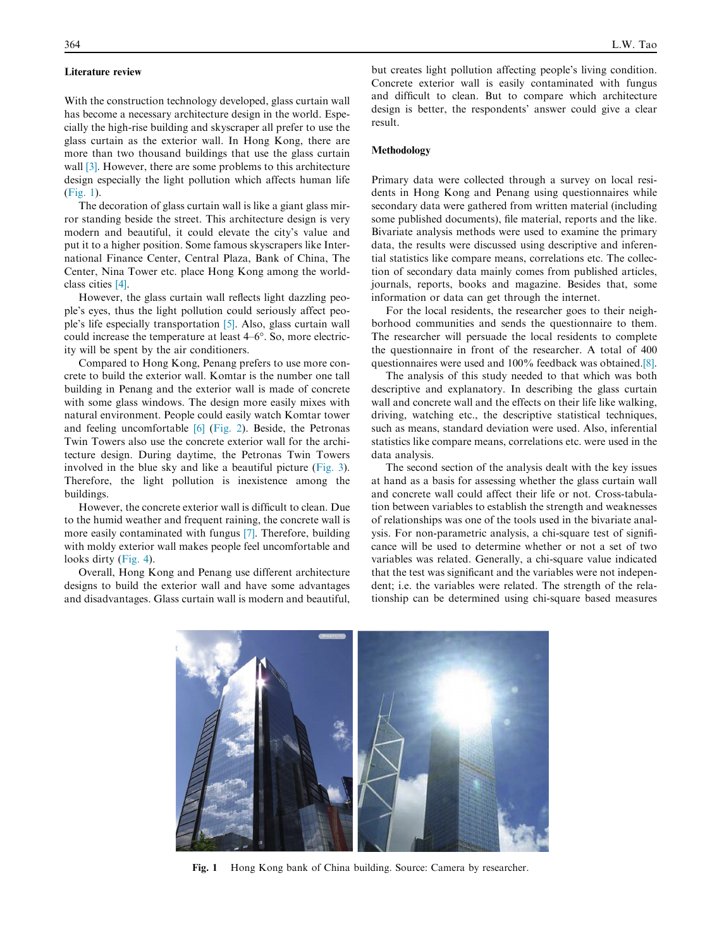### Literature review

With the construction technology developed, glass curtain wall has become a necessary architecture design in the world. Especially the high-rise building and skyscraper all prefer to use the glass curtain as the exterior wall. In Hong Kong, there are more than two thousand buildings that use the glass curtain wall [\[3\]](#page--1-0). However, there are some problems to this architecture design especially the light pollution which affects human life (Fig. 1).

The decoration of glass curtain wall is like a giant glass mirror standing beside the street. This architecture design is very modern and beautiful, it could elevate the city's value and put it to a higher position. Some famous skyscrapers like International Finance Center, Central Plaza, Bank of China, The Center, Nina Tower etc. place Hong Kong among the worldclass cities [\[4\]](#page--1-0).

However, the glass curtain wall reflects light dazzling people's eyes, thus the light pollution could seriously affect people's life especially transportation [\[5\]](#page--1-0). Also, glass curtain wall could increase the temperature at least 4–6°. So, more electricity will be spent by the air conditioners.

Compared to Hong Kong, Penang prefers to use more concrete to build the exterior wall. Komtar is the number one tall building in Penang and the exterior wall is made of concrete with some glass windows. The design more easily mixes with natural environment. People could easily watch Komtar tower and feeling uncomfortable [\[6\]](#page--1-0) ([Fig. 2](#page--1-0)). Beside, the Petronas Twin Towers also use the concrete exterior wall for the architecture design. During daytime, the Petronas Twin Towers involved in the blue sky and like a beautiful picture [\(Fig. 3](#page--1-0)). Therefore, the light pollution is inexistence among the buildings.

However, the concrete exterior wall is difficult to clean. Due to the humid weather and frequent raining, the concrete wall is more easily contaminated with fungus [\[7\]](#page--1-0). Therefore, building with moldy exterior wall makes people feel uncomfortable and looks dirty ([Fig. 4\)](#page--1-0).

Overall, Hong Kong and Penang use different architecture designs to build the exterior wall and have some advantages and disadvantages. Glass curtain wall is modern and beautiful,

but creates light pollution affecting people's living condition. Concrete exterior wall is easily contaminated with fungus and difficult to clean. But to compare which architecture design is better, the respondents' answer could give a clear result.

#### Methodology

Primary data were collected through a survey on local residents in Hong Kong and Penang using questionnaires while secondary data were gathered from written material (including some published documents), file material, reports and the like. Bivariate analysis methods were used to examine the primary data, the results were discussed using descriptive and inferential statistics like compare means, correlations etc. The collection of secondary data mainly comes from published articles, journals, reports, books and magazine. Besides that, some information or data can get through the internet.

For the local residents, the researcher goes to their neighborhood communities and sends the questionnaire to them. The researcher will persuade the local residents to complete the questionnaire in front of the researcher. A total of 400 questionnaires were used and 100% feedback was obtained[.\[8\]](#page--1-0).

The analysis of this study needed to that which was both descriptive and explanatory. In describing the glass curtain wall and concrete wall and the effects on their life like walking, driving, watching etc., the descriptive statistical techniques, such as means, standard deviation were used. Also, inferential statistics like compare means, correlations etc. were used in the data analysis.

The second section of the analysis dealt with the key issues at hand as a basis for assessing whether the glass curtain wall and concrete wall could affect their life or not. Cross-tabulation between variables to establish the strength and weaknesses of relationships was one of the tools used in the bivariate analysis. For non-parametric analysis, a chi-square test of significance will be used to determine whether or not a set of two variables was related. Generally, a chi-square value indicated that the test was significant and the variables were not independent; i.e. the variables were related. The strength of the relationship can be determined using chi-square based measures



Fig. 1 Hong Kong bank of China building. Source: Camera by researcher.